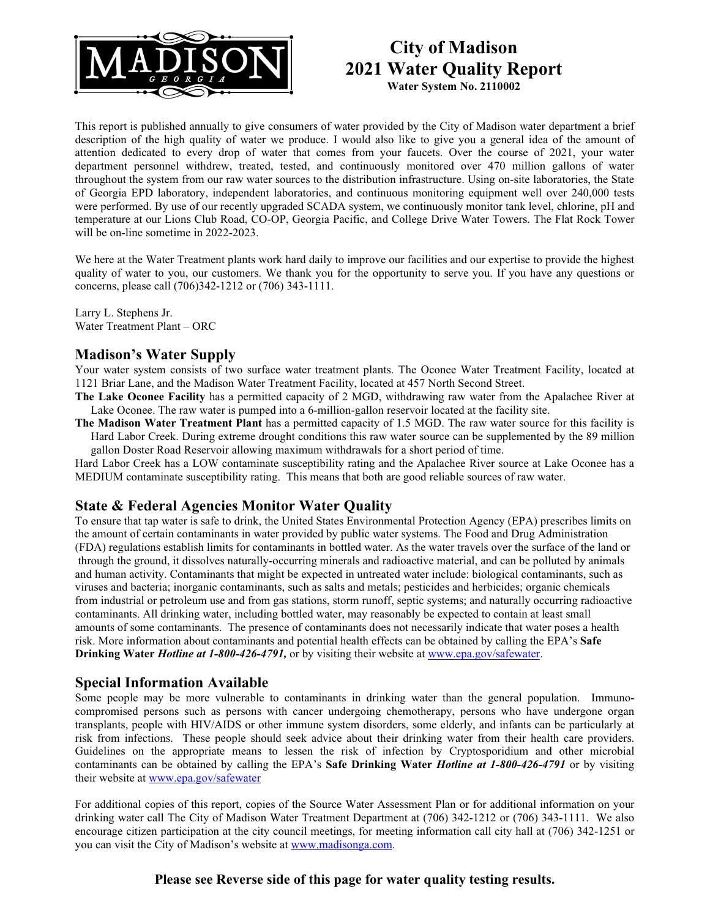

# **City of Madison 2021 Water Quality Report**

**Water System No. 2110002**

This report is published annually to give consumers of water provided by the City of Madison water department a brief description of the high quality of water we produce. I would also like to give you a general idea of the amount of attention dedicated to every drop of water that comes from your faucets. Over the course of 2021, your water department personnel withdrew, treated, tested, and continuously monitored over 470 million gallons of water throughout the system from our raw water sources to the distribution infrastructure. Using on-site laboratories, the State of Georgia EPD laboratory, independent laboratories, and continuous monitoring equipment well over 240,000 tests were performed. By use of our recently upgraded SCADA system, we continuously monitor tank level, chlorine, pH and temperature at our Lions Club Road, CO-OP, Georgia Pacific, and College Drive Water Towers. The Flat Rock Tower will be on-line sometime in 2022-2023.

We here at the Water Treatment plants work hard daily to improve our facilities and our expertise to provide the highest quality of water to you, our customers. We thank you for the opportunity to serve you. If you have any questions or concerns, please call (706)342-1212 or (706) 343-1111.

Larry L. Stephens Jr. Water Treatment Plant – ORC

#### **Madison's Water Supply**

Your water system consists of two surface water treatment plants. The Oconee Water Treatment Facility, located at 1121 Briar Lane, and the Madison Water Treatment Facility, located at 457 North Second Street.

**The Lake Oconee Facility** has a permitted capacity of 2 MGD, withdrawing raw water from the Apalachee River at Lake Oconee. The raw water is pumped into a 6-million-gallon reservoir located at the facility site.

**The Madison Water Treatment Plant** has a permitted capacity of 1.5 MGD. The raw water source for this facility is Hard Labor Creek. During extreme drought conditions this raw water source can be supplemented by the 89 million gallon Doster Road Reservoir allowing maximum withdrawals for a short period of time.

Hard Labor Creek has a LOW contaminate susceptibility rating and the Apalachee River source at Lake Oconee has a MEDIUM contaminate susceptibility rating. This means that both are good reliable sources of raw water.

### **State & Federal Agencies Monitor Water Quality**

To ensure that tap water is safe to drink, the United States Environmental Protection Agency (EPA) prescribes limits on the amount of certain contaminants in water provided by public water systems. The Food and Drug Administration (FDA) regulations establish limits for contaminants in bottled water. As the water travels over the surface of the land or through the ground, it dissolves naturally-occurring minerals and radioactive material, and can be polluted by animals and human activity. Contaminants that might be expected in untreated water include: biological contaminants, such as viruses and bacteria; inorganic contaminants, such as salts and metals; pesticides and herbicides; organic chemicals from industrial or petroleum use and from gas stations, storm runoff, septic systems; and naturally occurring radioactive contaminants. All drinking water, including bottled water, may reasonably be expected to contain at least small amounts of some contaminants. The presence of contaminants does not necessarily indicate that water poses a health risk. More information about contaminants and potential health effects can be obtained by calling the EPA's **Safe Drinking Water** *Hotline at 1-800-426-4791,* or by visiting their website at [www.epa.gov/safewater.](http://www.epa.gov/safewater)

#### **Special Information Available**

Some people may be more vulnerable to contaminants in drinking water than the general population. Immunocompromised persons such as persons with cancer undergoing chemotherapy, persons who have undergone organ transplants, people with HIV/AIDS or other immune system disorders, some elderly, and infants can be particularly at risk from infections. These people should seek advice about their drinking water from their health care providers. Guidelines on the appropriate means to lessen the risk of infection by Cryptosporidium and other microbial contaminants can be obtained by calling the EPA's **Safe Drinking Water** *Hotline at 1-800-426-4791* or by visiting their website at [www.epa.gov/safewater](http://www.epa.gov/safewater)

For additional copies of this report, copies of the Source Water Assessment Plan or for additional information on your drinking water call The City of Madison Water Treatment Department at (706) 342-1212 or (706) 343-1111. We also encourage citizen participation at the city council meetings, for meeting information call city hall at (706) 342-1251 or you can visit the City of Madison's website at [www.madisonga.com.](http://www.madisonga.com/)

#### **Please see Reverse side of this page for water quality testing results.**